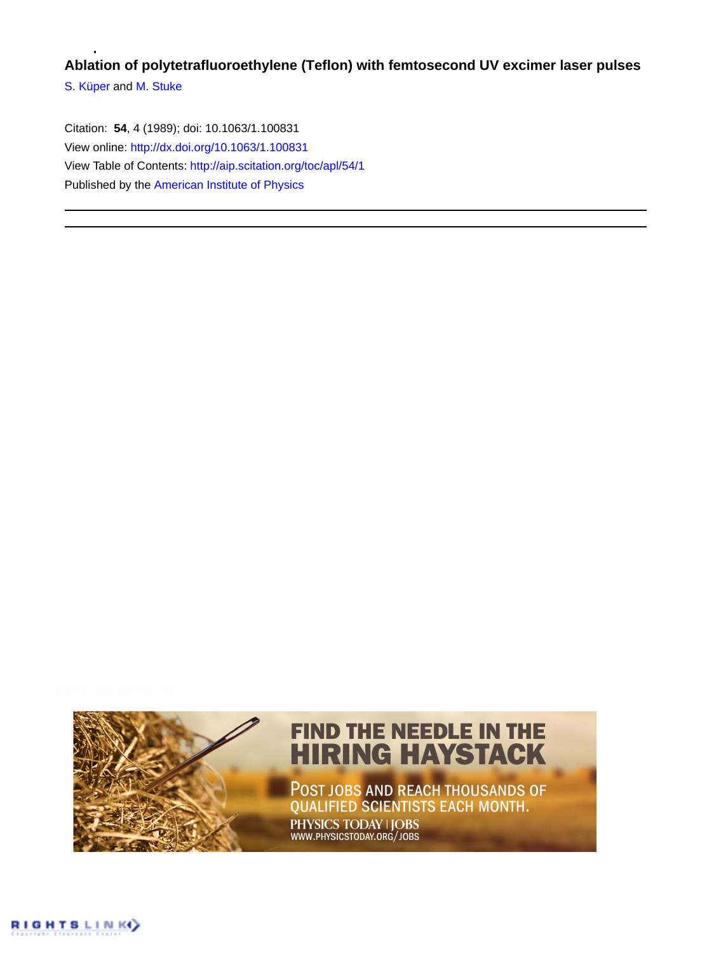## **Ablation of polytetrafluoroethylene (Teflon) with femtosecond UV excimer laser pulses**

[S. Küper](http://aip.scitation.org/author/K%C3%BCper%2C+S) and [M. Stuke](http://aip.scitation.org/author/Stuke%2C+M)

Citation: **54**, 4 (1989); doi: 10.1063/1.100831 View online: <http://dx.doi.org/10.1063/1.100831> View Table of Contents: <http://aip.scitation.org/toc/apl/54/1> Published by the [American Institute of Physics](http://aip.scitation.org/publisher/)

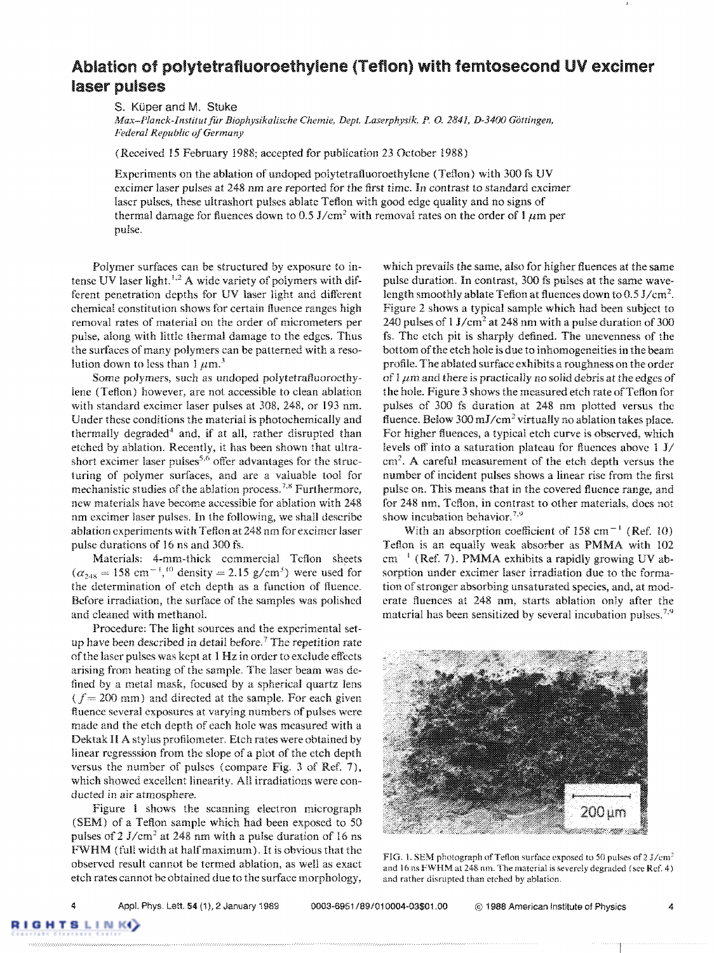## Ablation of polytetrafluoroethylene (Teflon) with femtosecond UV excimer **laser pulses**

S. Küper and M. Stuke

*Max-Plallck-Institutfitr Biophysikalische Chemie, Dept. Laserphysik. P. 0.* 2841, *D-3400 Gottingen, Federal Republic of Germany* 

(Received 15 February 1988; accepted for publication 23 October 1988)

Experiments on the ablation of un doped polytetrafluoroethylene (Teflon) with 300 fs UV excimer laser pulses at 248 nm are reported for the first time. In contrast to standard excimer lascr pulses, these ultrashort pulses ablate Teflon with good edge quality and no signs of thermal damage for fluences down to 0.5 J/cm<sup>2</sup> with removal rates on the order of 1  $\mu$ m per pulse.

Polymer surfaces can be structured by exposure to intense UV laser light.<sup> $t,2$ </sup> A wide variety of polymers with different penetration depths for UV laser light and different chemical constitution shows for certain fiuence rangcs high removal rates of material on the order of micrometers per pulse, along with little thermal damage to the edges. Thus the surfaces of many polymers can be patterned with a resolution down to less than  $1 \mu m$ .<sup>3</sup>

Some polymers, such as undoped polytetratluoroethylene (Teflon) however, are noi accessible to clean ablation with standard excimer laser pulses at 308, 248, or 193 nm. Under these conditions the material is photochemically and thermally degraded<sup>4</sup> and, if at all, rather disrupted than etched by ablation. Recently, it has been shown that ultrashort excimer laser pulses<sup>5,6</sup> offer advantages for the structuring of polymer surfaces, and are a valuable tool for mechanistic studies of the ablation process.<sup>7,8</sup> Furthermore, new materials have become accessible for ablation with 248 nm excimer laser pulses. In the following, we shall describe ablation experiments with Teflon at 248 nm forexcimer laser pulse durations of 16 ns and 300 fs.

Materials: 4-mm-thick commercial Teflon sheets  $(\alpha_{248} = 158 \text{ cm}^{-1})^{10}$  density = 2.15 g/cm<sup>3</sup>) were used for the determination of etch depth as a function of ftuence, Before irradiation, the surface of the samples was polished and cleaned with methanoL

Procedure: The light sources and the experimental setup have been described in detail before.<sup>7</sup> The repetition rate of the laser pulses was kept at 1 Hz in order to exclude effects arising from heating of the sample. The laser beam was defined by a metal mask, focused by a spherical quartz lens  $(f= 200 \text{ mm})$  and directed at the sample. For each given fluence several exposures at varying numbers of pulses were made and the etch depth of each hole was measured with a Dektak II A stylus profiiometer, Etch rates were obtained by linear regresssion from the slope of a plot of the etch depth versus the number of pulses (compare Fig. 3 of Ref. 7), which showed excellent linearity. All irradiations were conducted in air atmosphere.

Figure 1 shows the scanning electron micrograph (SEM) of a Teflon sample which had been exposed to 50 pulses of  $2 \text{ J/cm}^2$  at 248 nm with a pulse duration of 16 ns FWHM (full width at half maximum). It is obvious that the observed result cannot be termed ablation, as well as exact etch rates cannot he obtained due to the surface morphology,

which prevails the same, also for higher fiuences at the same pulse duration. In contrast, 300 fs pulses at the same wavelength smoothly ablate Teflon at fluences down to  $0.5 \text{ J/cm}^2$ . Figure 2 shows a typical sample which had been subject to 240 pulses of  $1 \text{ J/cm}^2$  at 248 nm with a pulse duration of 300 fs. The etch pit is sharply defined. The unevenness of the bottom of the etch hole is due to inhomogeneities in the beam profile. The ablated surface exhibits a roughness on the order of 1  $\mu$ m and there is practically no solid debris at the edges of the hole. Figure 3 shows the measured etch rate of Teflon for pulses of 300 fs duration at 248 nm plotted versus the fluence. Below 300 mJ/cm<sup>2</sup> virtually no ablation takes place. For higher fiuences, a typical etch curve is observed, which levels off into a saturation plateau for flucnces above 1 *JI*  cm<sup>2</sup> • A careful measurement of the etch depth versus the number of incident pulses shows a linear rise from the first pulse on, This means that in the covered fluence range, and for 248 nm, Teflon, **in** contrast to other materials, docs not show incubation behavior.<sup>7,9</sup>

With an absorption coefficient of 158 cm<sup> $-1$ </sup> (Ref. 10) Teflon is an equally weak absorber as PMMA with 102  $cm^{-1}$  (Ref. 7). PMMA exhibits a rapidly growing UV absorption under excimer laser irradiation due to the formation of stronger absorbing unsaturated species, and, at moderate fluences at 248 nm, starts ablation only after the material has been sensitized by several incubation pulses.<sup>7,9</sup>



FIG. 1. SEM photograph of Teflon surface exposed to 50 pulses of 2 J/cm<sup>2</sup> and 16ns FWHM at 248 nm. The material is severely degraded (sec Ref. 4) and rather disrupted than etched by ablation.

**TSLINK**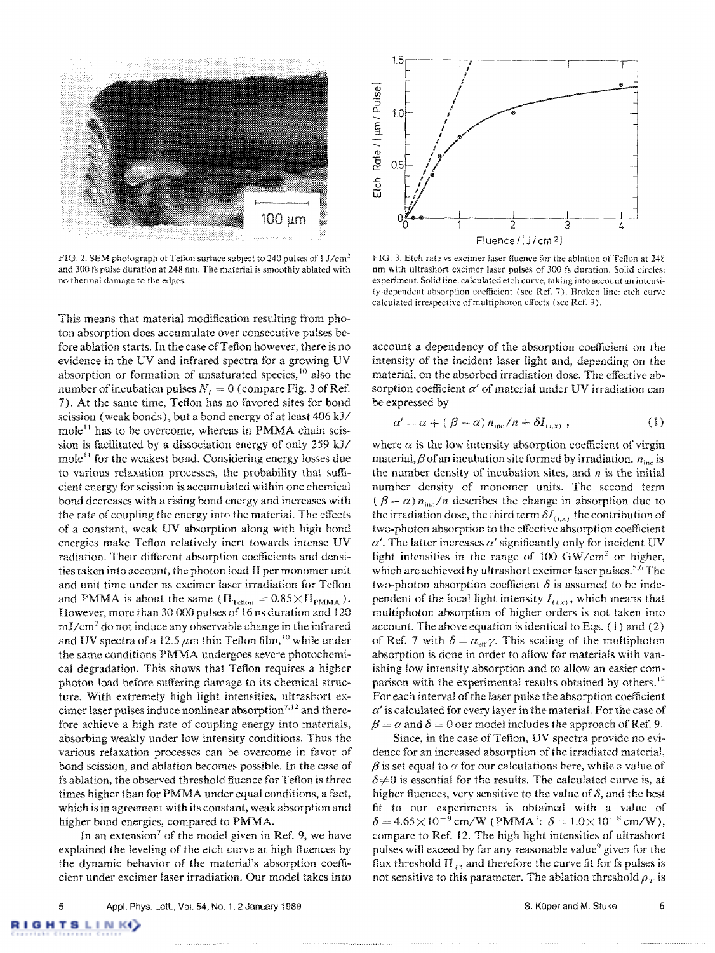

FIG. 2. SEM photograph of Teflon surface subject to 240 pulses of 1 J/cm' and 300 fs pulse duration at 248 nm. The material is smoothly ablated with no thermal damage to the edgcs.

This means that material modification resulting from photon absorption does accumulate over consecutive pulses before ablation starts. In the case of Teflon however, there is no evidence in the UV and infrared spectra for a growing UV absorption or formation of unsaturated species, <sup>10</sup> also the number of incubation pulses  $N_I = 0$  (compare Fig. 3 of Ref. 7). At the same time, Teflon has no favored sites for bond scission (weak bonds), but a bond energy of at least  $406 \text{ kJ}$ mole<sup>11</sup> has to be overcome, whereas in PMMA chain scission is facilitated by a dissociation energy of only  $259$  kJ/ mole<sup>11</sup> for the weakest bond. Considering energy losses due to various relaxation processes, the probability that sufficient energy for scission is accumulated within one chemical bond decreases with a rising bond energy and increases with the rate of coupling the energy into the material. The effects of a constant, weak UV absorption along with high bond energies make Teflon relatively inert towards intense UV radiation. Their different absorption coefficients and densities taken into account, the photon load II per monomer unit and unit time under ns excimer laser irradiation for Teflon and PMMA is about the same  $(\Pi_{\text{Teflon}} = 0.85 \times \Pi_{\text{PMMA}})$ . However, more than 30 000 pulses of 16 ns duration and 120 mJ/cm<sup>2</sup>do not induce any observable change in the infrared and UV spectra of a 12.5  $\mu$ m thin Teflon film, <sup>10</sup> while under the same conditions PMMA undergoes severe photochemical degradation. This shows that Teflon requires a higher photon load before suffering damage to its chemical structure. With extremely high light intensities, ultrashort excimer laser pulses induce nonlinear absorption<sup>7,12</sup> and therefore achieve a high rate of coupling energy into materials, absorbing weakly under low intensity conditions. Thus the various relaxation processes can be overcome in favor of bond scission, and ablation becomes possible. In the case of fs ablation, the observed threshold fiuence for Teflon is three times higher than for PMMA under equal conditions, a fact, which is in agreement with its constant, weak absorption and higher bond energies, compared to PMMA.

In an extension<sup>7</sup> of the model given in Ref. 9, we have explained the leveling of the etch curve at high fiuences by the dynamic behavior of the material's absorption coefficient under excimer laser irradiation. Our model takes into



FIG. 3. Etch rate vs excimer laser fluence for the ablation of Teflon at 248 nm with ultrashort excimer laser pulses of 300 fs duration. Solid circles: experiment. Solid line: calculated etch curve, taking into account an intensity-dependent absorption coefficient (see Ref. 7). Broken line: etch curve calculated irrespective of multiphoton effects (see Ref. 9).

account a dependency of the absorption coefficient on the intensity of the incident laser light and, depending on the material, on the absorbed irradiation dose. The effective absorption coefficient  $\alpha'$  of material under UV irradiation can be expressed by

$$
\alpha' = \alpha + (\beta - \alpha) n_{inc} / n + \delta I_{\langle L, x \rangle}, \qquad (1)
$$

where  $\alpha$  is the low intensity absorption coefficient of virgin material,  $\beta$  of an incubation site formed by irradiation,  $n_{\text{inc}}$  is the number density of incubation sites, and *n* is the initial number density of monomer units. The second term  $(\beta - \alpha) n_{\text{inc}} / n$  describes the change in absorption due to the irradiation dose, the third term  $\delta I_{(t,x)}$  the contribution of two-photon absorption to the effective absorption coefficient  $\alpha'$ . The latter increases  $\alpha'$  significantly only for incident UV light intensities in the range of 100 GW/cm<sup>2</sup> or higher, which are achieved by ultrashort excimer laser pulses.<sup>5,6</sup> The two-photon absorption coefficient  $\delta$  is assumed to be independent of the local light intensity  $I_{(tx)}$ , which means that multiphoton absorption of higher orders is not taken into account. The above equation is identical to Eqs. (1) and (2) of Ref. 7 with  $\delta = \alpha_{\text{eff}} \gamma$ . This scaling of the multiphoton absorption is done in order to allow for materials with vanishing low intensity absorption and to allow an easier comparison with the experimental results obtained by others.<sup>12</sup> For each interval of the laser pulse the absorption coefficient  $\alpha'$  is calculated for every layer in the material. For the case of  $\beta = \alpha$  and  $\delta = 0$  our model includes the approach of Ref. 9.

Since, in the case of Teflon, UV spectra provide no evidence for an increased absorption of the irradiated material,  $\beta$  is set equal to  $\alpha$  for our calculations here, while a value of  $\delta \neq 0$  is essential for the results. The calculated curve is, at higher fluences, very sensitive to the value of  $\delta$ , and the best fit to our experiments is obtained with a value of  $\delta = 4.65 \times 10^{-9}$  cm/W (PMMA<sup>7</sup>:  $\delta = 1.0 \times 10^{-8}$  cm/W), compare to Ref. 12. The high light intensities of ultrashort pulses will exceed by far any reasonable value<sup>9</sup> given for the flux threshold  $\Pi_T$ , and therefore the curve fit for fs pulses is not sensitive to this parameter. The ablation threshold  $\rho_T$  is

IN IK43